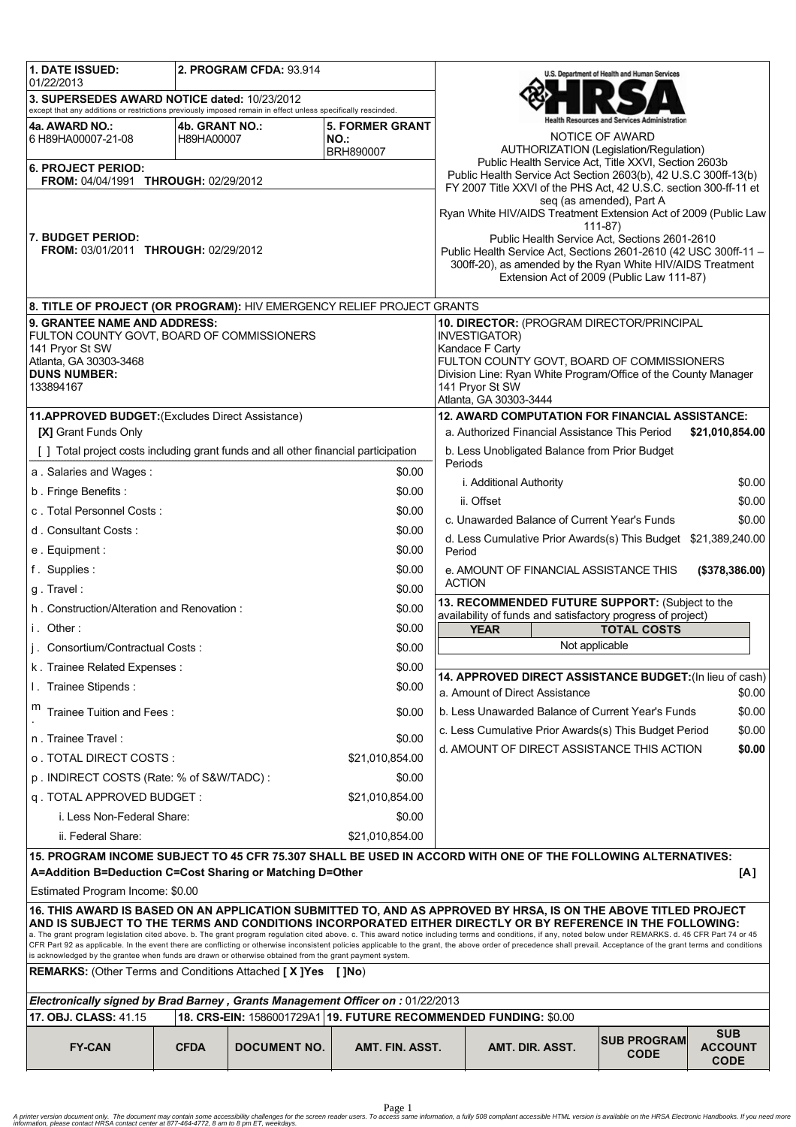| 1. DATE ISSUED:                                                                                                                                                                                                                                                                                                                                                                                                                   |                              | 2. PROGRAM CFDA: 93.914 |                               |                                                                   |                                                                                                           | U.S. Department of Health and Human Services |                                             |
|-----------------------------------------------------------------------------------------------------------------------------------------------------------------------------------------------------------------------------------------------------------------------------------------------------------------------------------------------------------------------------------------------------------------------------------|------------------------------|-------------------------|-------------------------------|-------------------------------------------------------------------|-----------------------------------------------------------------------------------------------------------|----------------------------------------------|---------------------------------------------|
| 01/22/2013<br>3. SUPERSEDES AWARD NOTICE dated: 10/23/2012                                                                                                                                                                                                                                                                                                                                                                        |                              |                         |                               |                                                                   |                                                                                                           |                                              |                                             |
| except that any additions or restrictions previously imposed remain in effect unless specifically rescinded.                                                                                                                                                                                                                                                                                                                      |                              |                         |                               | ealth Resources and Services Administration                       |                                                                                                           |                                              |                                             |
| 4a. AWARD NO.:<br>6 H89HA00007-21-08                                                                                                                                                                                                                                                                                                                                                                                              | 4b. GRANT NO.:<br>H89HA00007 |                         | <b>5. FORMER GRANT</b><br>NO. |                                                                   |                                                                                                           | NOTICE OF AWARD                              |                                             |
|                                                                                                                                                                                                                                                                                                                                                                                                                                   |                              |                         | BRH890007                     |                                                                   | <b>AUTHORIZATION (Legislation/Regulation)</b><br>Public Health Service Act, Title XXVI, Section 2603b     |                                              |                                             |
| 6. PROJECT PERIOD:<br><b>FROM: 04/04/1991 THROUGH: 02/29/2012</b>                                                                                                                                                                                                                                                                                                                                                                 |                              |                         |                               |                                                                   | Public Health Service Act Section 2603(b), 42 U.S.C 300ff-13(b)                                           |                                              |                                             |
|                                                                                                                                                                                                                                                                                                                                                                                                                                   |                              |                         |                               |                                                                   | FY 2007 Title XXVI of the PHS Act, 42 U.S.C. section 300-ff-11 et                                         | seq (as amended), Part A                     |                                             |
|                                                                                                                                                                                                                                                                                                                                                                                                                                   |                              |                         |                               |                                                                   | Ryan White HIV/AIDS Treatment Extension Act of 2009 (Public Law                                           |                                              |                                             |
| l7. BUDGET PERIOD:                                                                                                                                                                                                                                                                                                                                                                                                                |                              |                         |                               |                                                                   | Public Health Service Act, Sections 2601-2610                                                             | $111 - 87$                                   |                                             |
| FROM: 03/01/2011 THROUGH: 02/29/2012                                                                                                                                                                                                                                                                                                                                                                                              |                              |                         |                               |                                                                   | Public Health Service Act, Sections 2601-2610 (42 USC 300ff-11 -                                          |                                              |                                             |
|                                                                                                                                                                                                                                                                                                                                                                                                                                   |                              |                         |                               |                                                                   | 300ff-20), as amended by the Ryan White HIV/AIDS Treatment<br>Extension Act of 2009 (Public Law 111-87)   |                                              |                                             |
|                                                                                                                                                                                                                                                                                                                                                                                                                                   |                              |                         |                               |                                                                   |                                                                                                           |                                              |                                             |
| 8. TITLE OF PROJECT (OR PROGRAM): HIV EMERGENCY RELIEF PROJECT GRANTS<br>9. GRANTEE NAME AND ADDRESS:                                                                                                                                                                                                                                                                                                                             |                              |                         |                               |                                                                   |                                                                                                           |                                              |                                             |
| FULTON COUNTY GOVT, BOARD OF COMMISSIONERS                                                                                                                                                                                                                                                                                                                                                                                        |                              |                         |                               | 10. DIRECTOR: (PROGRAM DIRECTOR/PRINCIPAL<br><b>INVESTIGATOR)</b> |                                                                                                           |                                              |                                             |
| 141 Pryor St SW<br>Atlanta, GA 30303-3468                                                                                                                                                                                                                                                                                                                                                                                         |                              |                         |                               |                                                                   | Kandace F Carty<br>FULTON COUNTY GOVT, BOARD OF COMMISSIONERS                                             |                                              |                                             |
| <b>DUNS NUMBER:</b>                                                                                                                                                                                                                                                                                                                                                                                                               |                              |                         |                               |                                                                   | Division Line: Ryan White Program/Office of the County Manager                                            |                                              |                                             |
| 133894167                                                                                                                                                                                                                                                                                                                                                                                                                         |                              |                         |                               |                                                                   | 141 Pryor St SW<br>Atlanta, GA 30303-3444                                                                 |                                              |                                             |
| 11.APPROVED BUDGET: (Excludes Direct Assistance)                                                                                                                                                                                                                                                                                                                                                                                  |                              |                         |                               |                                                                   | <b>12. AWARD COMPUTATION FOR FINANCIAL ASSISTANCE:</b>                                                    |                                              |                                             |
| [X] Grant Funds Only                                                                                                                                                                                                                                                                                                                                                                                                              |                              |                         |                               |                                                                   | a. Authorized Financial Assistance This Period                                                            |                                              | \$21,010,854.00                             |
| [ ] Total project costs including grant funds and all other financial participation                                                                                                                                                                                                                                                                                                                                               |                              |                         |                               |                                                                   | b. Less Unobligated Balance from Prior Budget<br>Periods                                                  |                                              |                                             |
| a. Salaries and Wages:                                                                                                                                                                                                                                                                                                                                                                                                            |                              |                         | \$0.00                        |                                                                   | i. Additional Authority                                                                                   |                                              | \$0.00                                      |
| b. Fringe Benefits:                                                                                                                                                                                                                                                                                                                                                                                                               |                              |                         | \$0.00                        |                                                                   | ii. Offset                                                                                                |                                              | \$0.00                                      |
| c. Total Personnel Costs:                                                                                                                                                                                                                                                                                                                                                                                                         |                              |                         | \$0.00                        |                                                                   | c. Unawarded Balance of Current Year's Funds                                                              |                                              | \$0.00                                      |
| d. Consultant Costs:                                                                                                                                                                                                                                                                                                                                                                                                              |                              |                         | \$0.00                        |                                                                   | d. Less Cumulative Prior Awards(s) This Budget \$21,389,240.00                                            |                                              |                                             |
| e. Equipment:                                                                                                                                                                                                                                                                                                                                                                                                                     |                              |                         | \$0.00                        | Period                                                            |                                                                                                           |                                              |                                             |
| f. Supplies:                                                                                                                                                                                                                                                                                                                                                                                                                      |                              |                         | \$0.00                        |                                                                   | e. AMOUNT OF FINANCIAL ASSISTANCE THIS<br><b>ACTION</b>                                                   |                                              | (\$378,386.00)                              |
| g. Travel:                                                                                                                                                                                                                                                                                                                                                                                                                        |                              |                         | \$0.00                        |                                                                   | 13. RECOMMENDED FUTURE SUPPORT: (Subject to the                                                           |                                              |                                             |
| h. Construction/Alteration and Renovation:                                                                                                                                                                                                                                                                                                                                                                                        |                              |                         | \$0.00                        |                                                                   | availability of funds and satisfactory progress of project)                                               |                                              |                                             |
| i. Other:                                                                                                                                                                                                                                                                                                                                                                                                                         |                              |                         | \$0.00                        |                                                                   | <b>YEAR</b><br>Not applicable                                                                             | <b>TOTAL COSTS</b>                           |                                             |
| j. Consortium/Contractual Costs:                                                                                                                                                                                                                                                                                                                                                                                                  |                              |                         | \$0.00                        |                                                                   |                                                                                                           |                                              |                                             |
| k. Trainee Related Expenses:                                                                                                                                                                                                                                                                                                                                                                                                      |                              |                         | \$0.00                        |                                                                   | 14. APPROVED DIRECT ASSISTANCE BUDGET: (In lieu of cash)                                                  |                                              |                                             |
| I. Trainee Stipends:                                                                                                                                                                                                                                                                                                                                                                                                              |                              |                         | \$0.00                        |                                                                   | a. Amount of Direct Assistance                                                                            |                                              | \$0.00                                      |
| m<br>Trainee Tuition and Fees:                                                                                                                                                                                                                                                                                                                                                                                                    |                              |                         | \$0.00                        |                                                                   | b. Less Unawarded Balance of Current Year's Funds                                                         |                                              | \$0.00                                      |
| n. Trainee Travel:                                                                                                                                                                                                                                                                                                                                                                                                                |                              |                         | \$0.00                        |                                                                   | c. Less Cumulative Prior Awards(s) This Budget Period                                                     |                                              | \$0.00                                      |
| o . TOTAL DIRECT COSTS :                                                                                                                                                                                                                                                                                                                                                                                                          |                              |                         | \$21,010,854.00               |                                                                   | d. AMOUNT OF DIRECT ASSISTANCE THIS ACTION                                                                |                                              | \$0.00                                      |
| p. INDIRECT COSTS (Rate: % of S&W/TADC):                                                                                                                                                                                                                                                                                                                                                                                          |                              |                         | \$0.00                        |                                                                   |                                                                                                           |                                              |                                             |
| q. TOTAL APPROVED BUDGET:                                                                                                                                                                                                                                                                                                                                                                                                         |                              |                         | \$21,010,854.00               |                                                                   |                                                                                                           |                                              |                                             |
| i. Less Non-Federal Share:                                                                                                                                                                                                                                                                                                                                                                                                        |                              |                         | \$0.00                        |                                                                   |                                                                                                           |                                              |                                             |
| ii. Federal Share:                                                                                                                                                                                                                                                                                                                                                                                                                |                              |                         | \$21,010,854.00               |                                                                   |                                                                                                           |                                              |                                             |
| 15. PROGRAM INCOME SUBJECT TO 45 CFR 75.307 SHALL BE USED IN ACCORD WITH ONE OF THE FOLLOWING ALTERNATIVES:                                                                                                                                                                                                                                                                                                                       |                              |                         |                               |                                                                   |                                                                                                           |                                              |                                             |
| A=Addition B=Deduction C=Cost Sharing or Matching D=Other<br>[A]                                                                                                                                                                                                                                                                                                                                                                  |                              |                         |                               |                                                                   |                                                                                                           |                                              |                                             |
| Estimated Program Income: \$0.00<br>16. THIS AWARD IS BASED ON AN APPLICATION SUBMITTED TO, AND AS APPROVED BY HRSA, IS ON THE ABOVE TITLED PROJECT                                                                                                                                                                                                                                                                               |                              |                         |                               |                                                                   |                                                                                                           |                                              |                                             |
|                                                                                                                                                                                                                                                                                                                                                                                                                                   |                              |                         |                               |                                                                   | AND IS SUBJECT TO THE TERMS AND CONDITIONS INCORPORATED EITHER DIRECTLY OR BY REFERENCE IN THE FOLLOWING: |                                              |                                             |
| a. The grant program legislation cited above. b. The grant program regulation cited above. c. This award notice including terms and conditions, if any, noted below under REMARKS. d. 45 CFR Part 74 or 45<br>CFR Part 92 as applicable. In the event there are conflicting or otherwise inconsistent policies applicable to the grant, the above order of precedence shall prevail. Acceptance of the grant terms and conditions |                              |                         |                               |                                                                   |                                                                                                           |                                              |                                             |
| is acknowledged by the grantee when funds are drawn or otherwise obtained from the grant payment system.                                                                                                                                                                                                                                                                                                                          |                              |                         |                               |                                                                   |                                                                                                           |                                              |                                             |
| <b>REMARKS:</b> (Other Terms and Conditions Attached [X]Yes<br>[ ]No)                                                                                                                                                                                                                                                                                                                                                             |                              |                         |                               |                                                                   |                                                                                                           |                                              |                                             |
| Electronically signed by Brad Barney, Grants Management Officer on: 01/22/2013                                                                                                                                                                                                                                                                                                                                                    |                              |                         |                               |                                                                   |                                                                                                           |                                              |                                             |
| 17. OBJ. CLASS: 41.15<br>18. CRS-EIN: 1586001729A1 19. FUTURE RECOMMENDED FUNDING: \$0.00                                                                                                                                                                                                                                                                                                                                         |                              |                         |                               |                                                                   |                                                                                                           |                                              |                                             |
| <b>FY-CAN</b>                                                                                                                                                                                                                                                                                                                                                                                                                     | <b>CFDA</b>                  | <b>DOCUMENT NO.</b>     | AMT. FIN. ASST.               |                                                                   | AMT. DIR. ASST.                                                                                           | <b>SUB PROGRAM</b><br><b>CODE</b>            | <b>SUB</b><br><b>ACCOUNT</b><br><b>CODE</b> |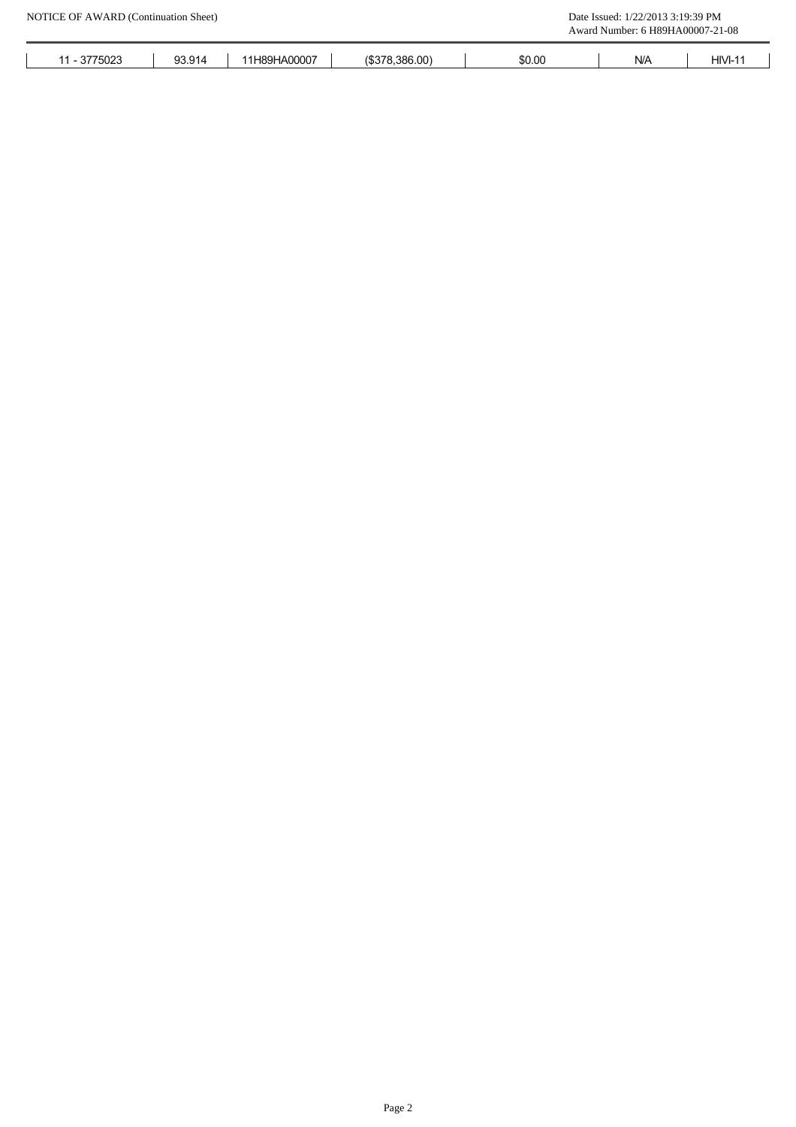| 0775000<br>5023<br>$\cdot$ <sup>1</sup> | 93.914 | H89HA00007<br>≛ 1 ⊨. | $($ \$378.386.00) | \$0.00 | N/A | HIVI- |
|-----------------------------------------|--------|----------------------|-------------------|--------|-----|-------|